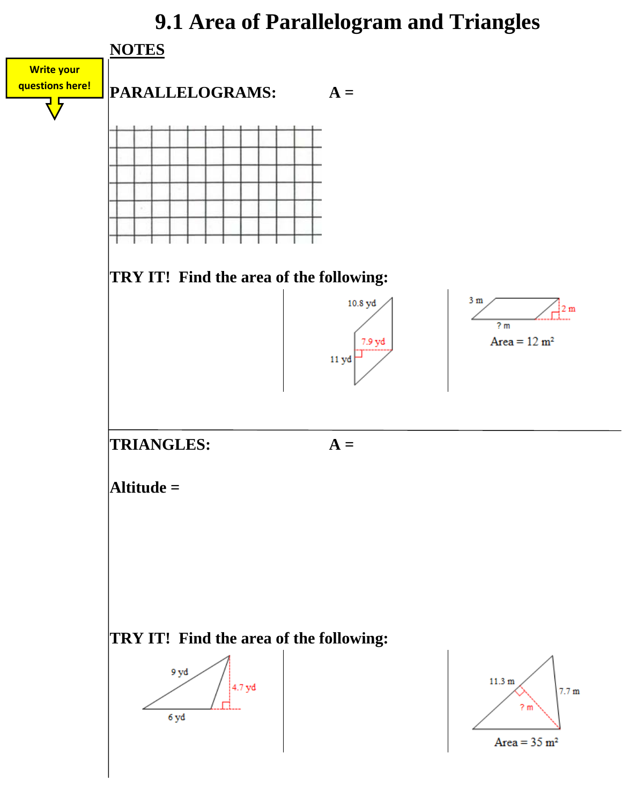## **9.1 Area of Parallelogram and Triangles**

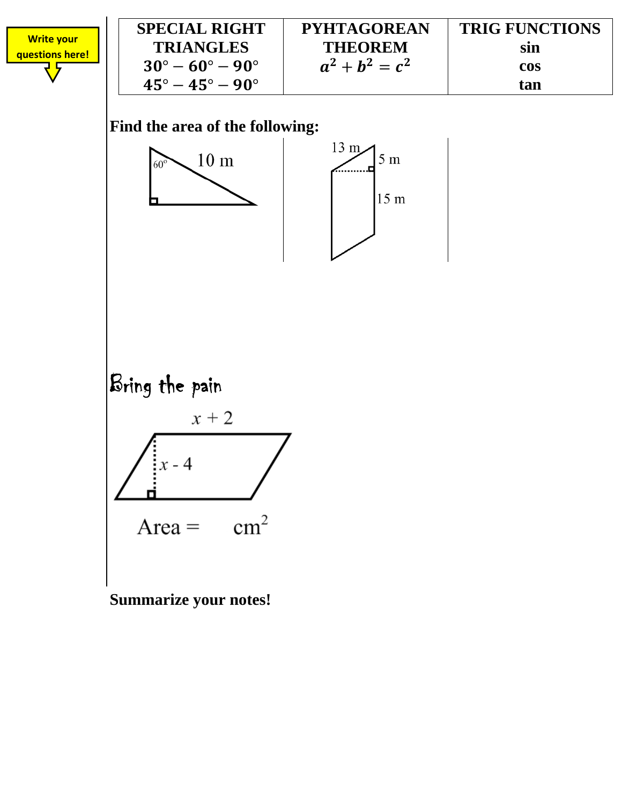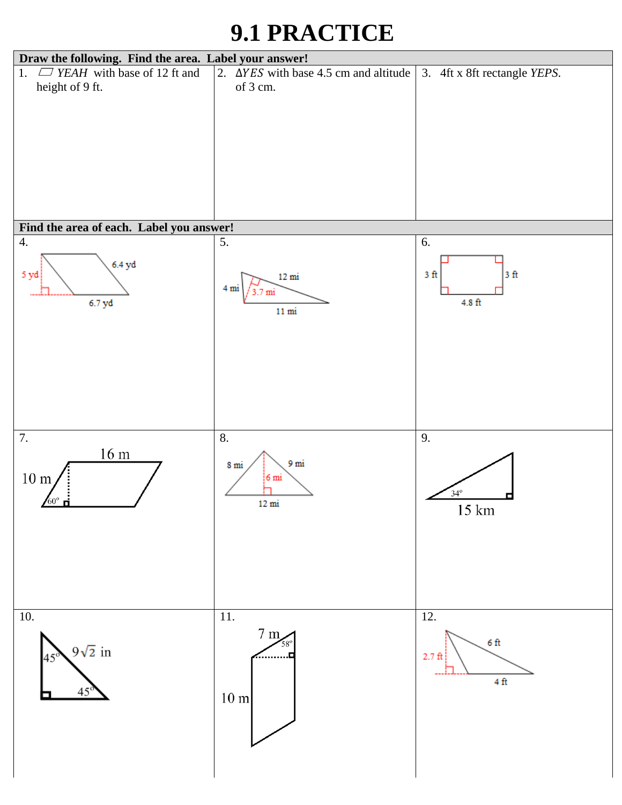## **9.1 PRACTICE**

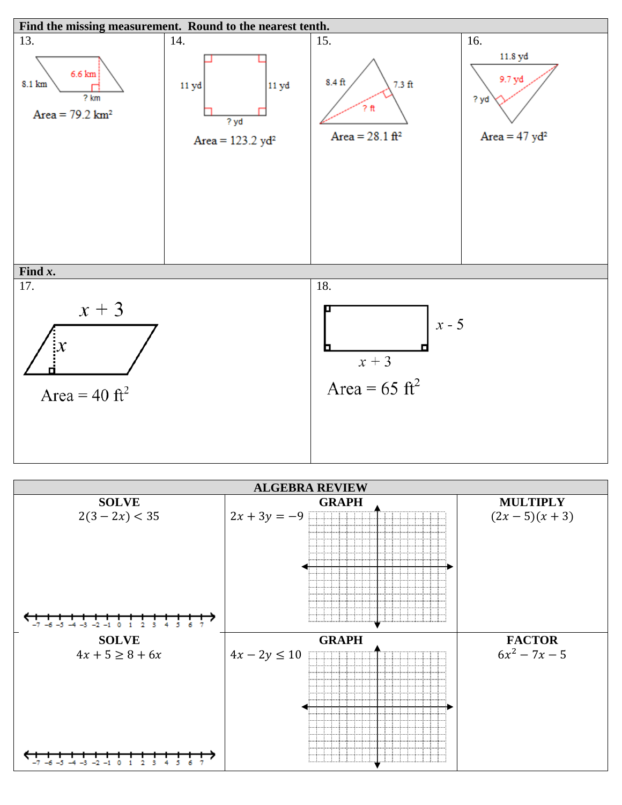

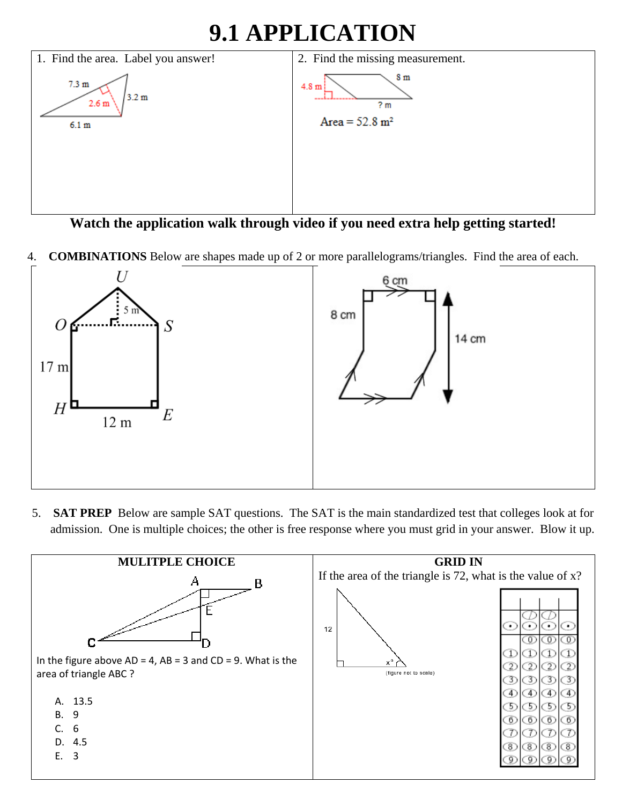## **9.1 APPLICATION**



**Watch the application walk through video if you need extra help getting started!** 

4. **COMBINATIONS** Below are shapes made up of 2 or more parallelograms/triangles. Find the area of each.



5. **SAT PREP** Below are sample SAT questions. The SAT is the main standardized test that colleges look at for admission. One is multiple choices; the other is free response where you must grid in your answer. Blow it up.